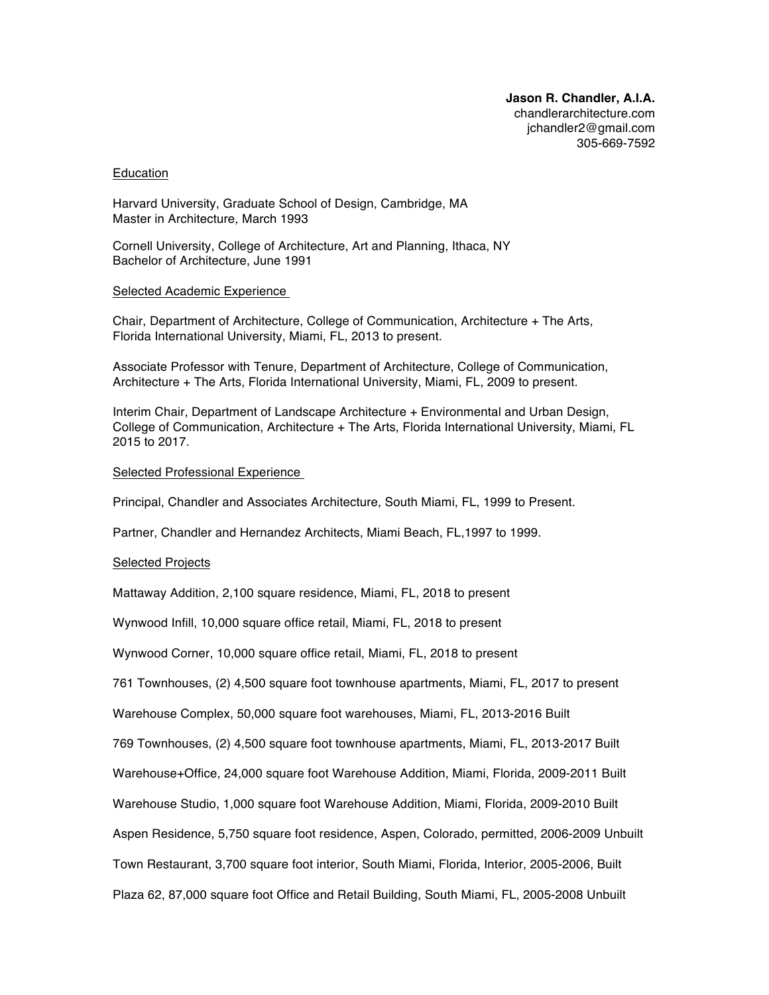### Education

Harvard University, Graduate School of Design, Cambridge, MA Master in Architecture, March 1993

Cornell University, College of Architecture, Art and Planning, Ithaca, NY Bachelor of Architecture, June 1991

## Selected Academic Experience

Chair, Department of Architecture, College of Communication, Architecture + The Arts, Florida International University, Miami, FL, 2013 to present.

Associate Professor with Tenure, Department of Architecture, College of Communication, Architecture + The Arts, Florida International University, Miami, FL, 2009 to present.

Interim Chair, Department of Landscape Architecture + Environmental and Urban Design, College of Communication, Architecture + The Arts, Florida International University, Miami, FL 2015 to 2017.

## Selected Professional Experience

Principal, Chandler and Associates Architecture, South Miami, FL, 1999 to Present.

Partner, Chandler and Hernandez Architects, Miami Beach, FL,1997 to 1999.

## Selected Projects

Mattaway Addition, 2,100 square residence, Miami, FL, 2018 to present

Wynwood Infill, 10,000 square office retail, Miami, FL, 2018 to present

Wynwood Corner, 10,000 square office retail, Miami, FL, 2018 to present

761 Townhouses, (2) 4,500 square foot townhouse apartments, Miami, FL, 2017 to present

Warehouse Complex, 50,000 square foot warehouses, Miami, FL, 2013-2016 Built

769 Townhouses, (2) 4,500 square foot townhouse apartments, Miami, FL, 2013-2017 Built

Warehouse+Office, 24,000 square foot Warehouse Addition, Miami, Florida, 2009-2011 Built

Warehouse Studio, 1,000 square foot Warehouse Addition, Miami, Florida, 2009-2010 Built

Aspen Residence, 5,750 square foot residence, Aspen, Colorado, permitted, 2006-2009 Unbuilt

Town Restaurant, 3,700 square foot interior, South Miami, Florida, Interior, 2005-2006, Built

Plaza 62, 87,000 square foot Office and Retail Building, South Miami, FL, 2005-2008 Unbuilt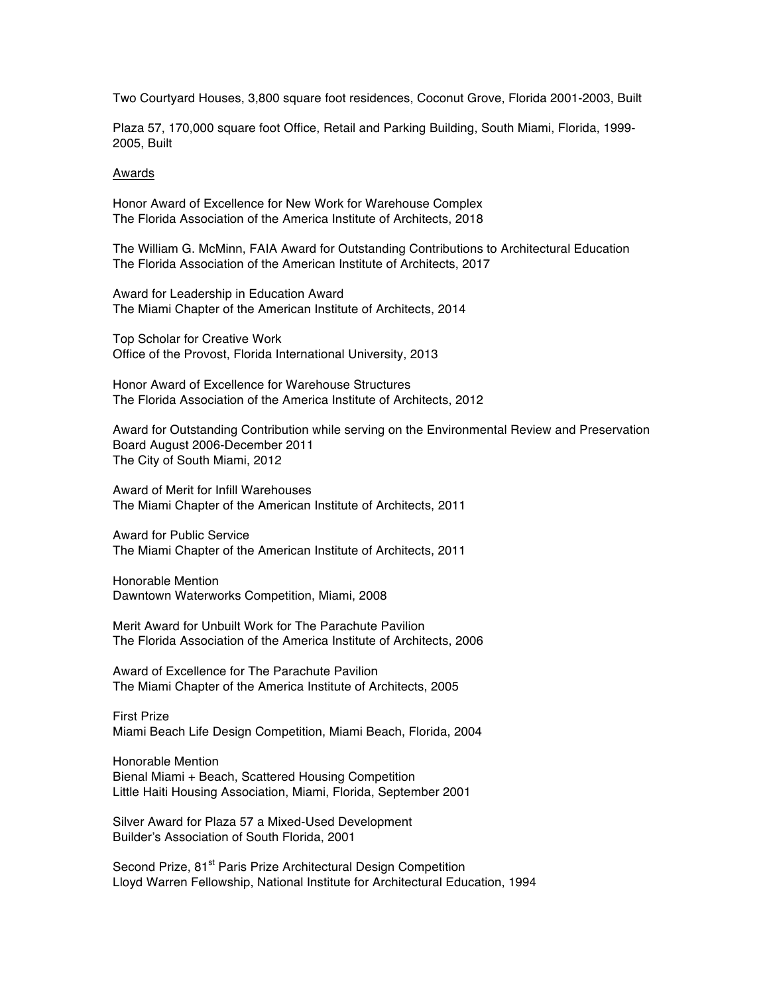Two Courtyard Houses, 3,800 square foot residences, Coconut Grove, Florida 2001-2003, Built

Plaza 57, 170,000 square foot Office, Retail and Parking Building, South Miami, Florida, 1999- 2005, Built

### Awards

Honor Award of Excellence for New Work for Warehouse Complex The Florida Association of the America Institute of Architects, 2018

The William G. McMinn, FAIA Award for Outstanding Contributions to Architectural Education The Florida Association of the American Institute of Architects, 2017

Award for Leadership in Education Award The Miami Chapter of the American Institute of Architects, 2014

Top Scholar for Creative Work Office of the Provost, Florida International University, 2013

Honor Award of Excellence for Warehouse Structures The Florida Association of the America Institute of Architects, 2012

Award for Outstanding Contribution while serving on the Environmental Review and Preservation Board August 2006-December 2011 The City of South Miami, 2012

Award of Merit for Infill Warehouses The Miami Chapter of the American Institute of Architects, 2011

Award for Public Service The Miami Chapter of the American Institute of Architects, 2011

Honorable Mention Dawntown Waterworks Competition, Miami, 2008

Merit Award for Unbuilt Work for The Parachute Pavilion The Florida Association of the America Institute of Architects, 2006

Award of Excellence for The Parachute Pavilion The Miami Chapter of the America Institute of Architects, 2005

First Prize Miami Beach Life Design Competition, Miami Beach, Florida, 2004

Honorable Mention Bienal Miami + Beach, Scattered Housing Competition Little Haiti Housing Association, Miami, Florida, September 2001

Silver Award for Plaza 57 a Mixed-Used Development Builder's Association of South Florida, 2001

Second Prize, 81<sup>st</sup> Paris Prize Architectural Design Competition Lloyd Warren Fellowship, National Institute for Architectural Education, 1994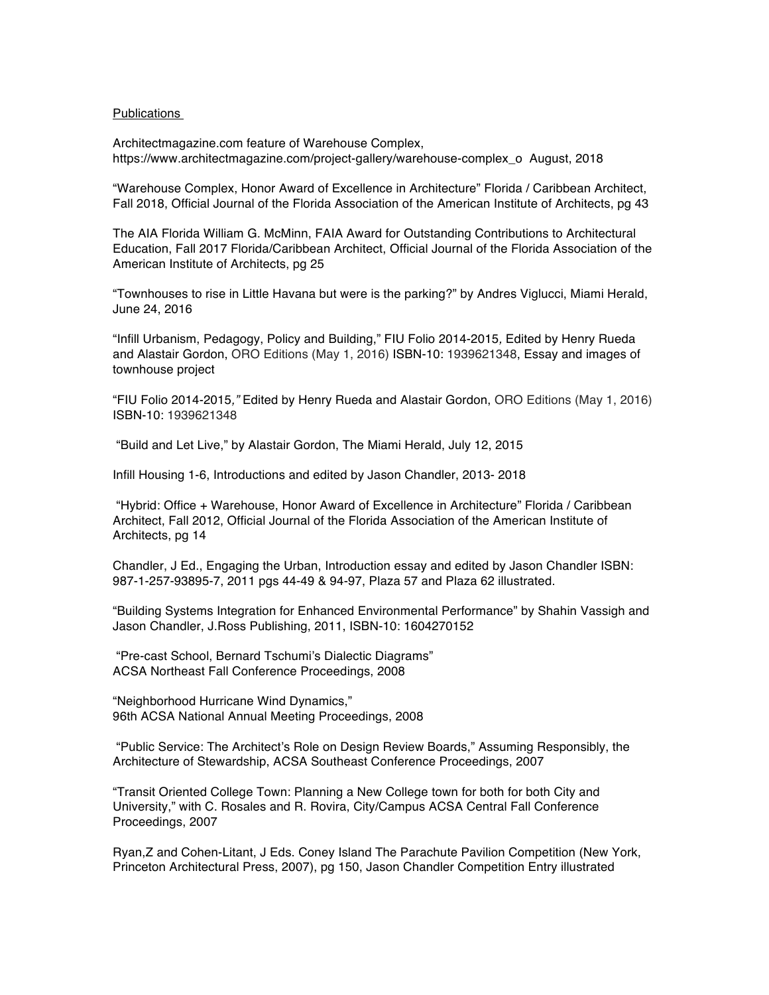# Publications

Architectmagazine.com feature of Warehouse Complex, https://www.architectmagazine.com/project-gallery/warehouse-complex\_o August, 2018

"Warehouse Complex, Honor Award of Excellence in Architecture" Florida / Caribbean Architect, Fall 2018, Official Journal of the Florida Association of the American Institute of Architects, pg 43

The AIA Florida William G. McMinn, FAIA Award for Outstanding Contributions to Architectural Education, Fall 2017 Florida/Caribbean Architect, Official Journal of the Florida Association of the American Institute of Architects, pg 25

"Townhouses to rise in Little Havana but were is the parking?" by Andres Viglucci, Miami Herald, June 24, 2016

"Infill Urbanism, Pedagogy, Policy and Building," FIU Folio 2014-2015*,* Edited by Henry Rueda and Alastair Gordon, ORO Editions (May 1, 2016) ISBN-10: 1939621348, Essay and images of townhouse project

"FIU Folio 2014-2015*,"* Edited by Henry Rueda and Alastair Gordon, ORO Editions (May 1, 2016) ISBN-10: 1939621348

"Build and Let Live," by Alastair Gordon, The Miami Herald, July 12, 2015

Infill Housing 1-6, Introductions and edited by Jason Chandler, 2013- 2018

"Hybrid: Office + Warehouse, Honor Award of Excellence in Architecture" Florida / Caribbean Architect, Fall 2012, Official Journal of the Florida Association of the American Institute of Architects, pg 14

Chandler, J Ed., Engaging the Urban, Introduction essay and edited by Jason Chandler ISBN: 987-1-257-93895-7, 2011 pgs 44-49 & 94-97, Plaza 57 and Plaza 62 illustrated.

"Building Systems Integration for Enhanced Environmental Performance" by Shahin Vassigh and Jason Chandler, J.Ross Publishing, 2011, ISBN-10: 1604270152

"Pre-cast School, Bernard Tschumi's Dialectic Diagrams" ACSA Northeast Fall Conference Proceedings, 2008

"Neighborhood Hurricane Wind Dynamics," 96th ACSA National Annual Meeting Proceedings, 2008

"Public Service: The Architect's Role on Design Review Boards," Assuming Responsibly, the Architecture of Stewardship, ACSA Southeast Conference Proceedings, 2007

"Transit Oriented College Town: Planning a New College town for both for both City and University," with C. Rosales and R. Rovira, City/Campus ACSA Central Fall Conference Proceedings, 2007

Ryan,Z and Cohen-Litant, J Eds. Coney Island The Parachute Pavilion Competition (New York, Princeton Architectural Press, 2007), pg 150, Jason Chandler Competition Entry illustrated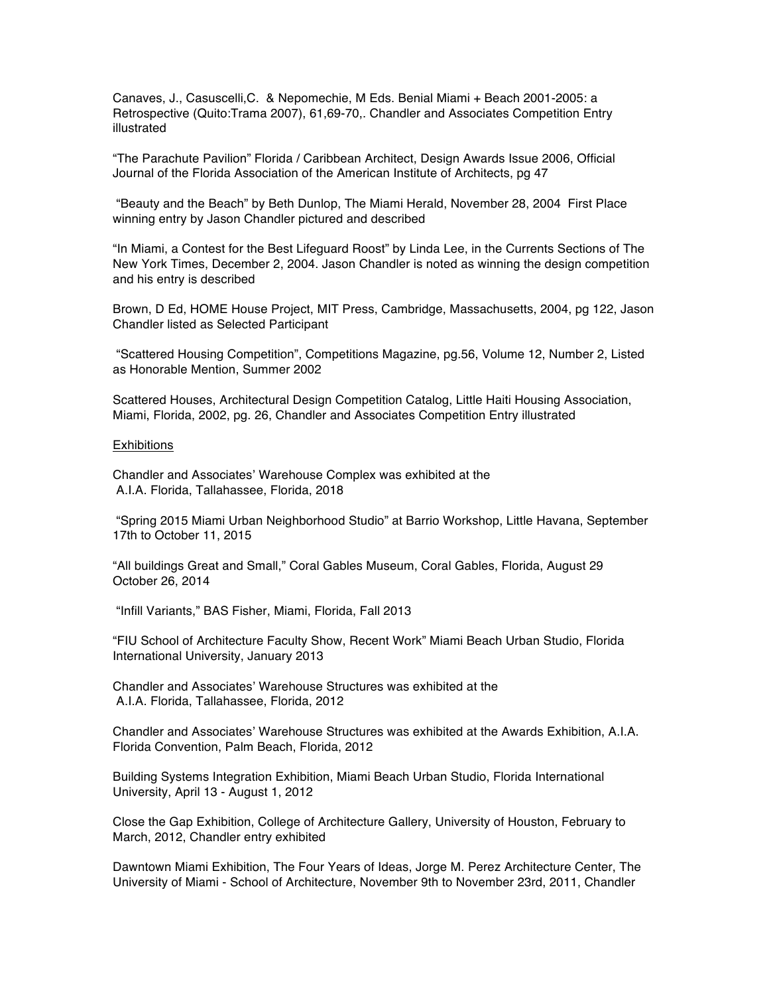Canaves, J., Casuscelli,C. & Nepomechie, M Eds. Benial Miami + Beach 2001-2005: a Retrospective (Quito:Trama 2007), 61,69-70,. Chandler and Associates Competition Entry illustrated

"The Parachute Pavilion" Florida / Caribbean Architect, Design Awards Issue 2006, Official Journal of the Florida Association of the American Institute of Architects, pg 47

"Beauty and the Beach" by Beth Dunlop, The Miami Herald, November 28, 2004 First Place winning entry by Jason Chandler pictured and described

"In Miami, a Contest for the Best Lifeguard Roost" by Linda Lee, in the Currents Sections of The New York Times, December 2, 2004. Jason Chandler is noted as winning the design competition and his entry is described

Brown, D Ed, HOME House Project, MIT Press, Cambridge, Massachusetts, 2004, pg 122, Jason Chandler listed as Selected Participant

"Scattered Housing Competition", Competitions Magazine, pg.56, Volume 12, Number 2, Listed as Honorable Mention, Summer 2002

Scattered Houses, Architectural Design Competition Catalog, Little Haiti Housing Association, Miami, Florida, 2002, pg. 26, Chandler and Associates Competition Entry illustrated

#### **Exhibitions**

Chandler and Associates' Warehouse Complex was exhibited at the A.I.A. Florida, Tallahassee, Florida, 2018

"Spring 2015 Miami Urban Neighborhood Studio" at Barrio Workshop, Little Havana, September 17th to October 11, 2015

"All buildings Great and Small," Coral Gables Museum, Coral Gables, Florida, August 29 October 26, 2014

"Infill Variants," BAS Fisher, Miami, Florida, Fall 2013

"FIU School of Architecture Faculty Show, Recent Work" Miami Beach Urban Studio, Florida International University, January 2013

Chandler and Associates' Warehouse Structures was exhibited at the A.I.A. Florida, Tallahassee, Florida, 2012

Chandler and Associates' Warehouse Structures was exhibited at the Awards Exhibition, A.I.A. Florida Convention, Palm Beach, Florida, 2012

Building Systems Integration Exhibition, Miami Beach Urban Studio, Florida International University, April 13 - August 1, 2012

Close the Gap Exhibition, College of Architecture Gallery, University of Houston, February to March, 2012, Chandler entry exhibited

Dawntown Miami Exhibition, The Four Years of Ideas, Jorge M. Perez Architecture Center, The University of Miami - School of Architecture, November 9th to November 23rd, 2011, Chandler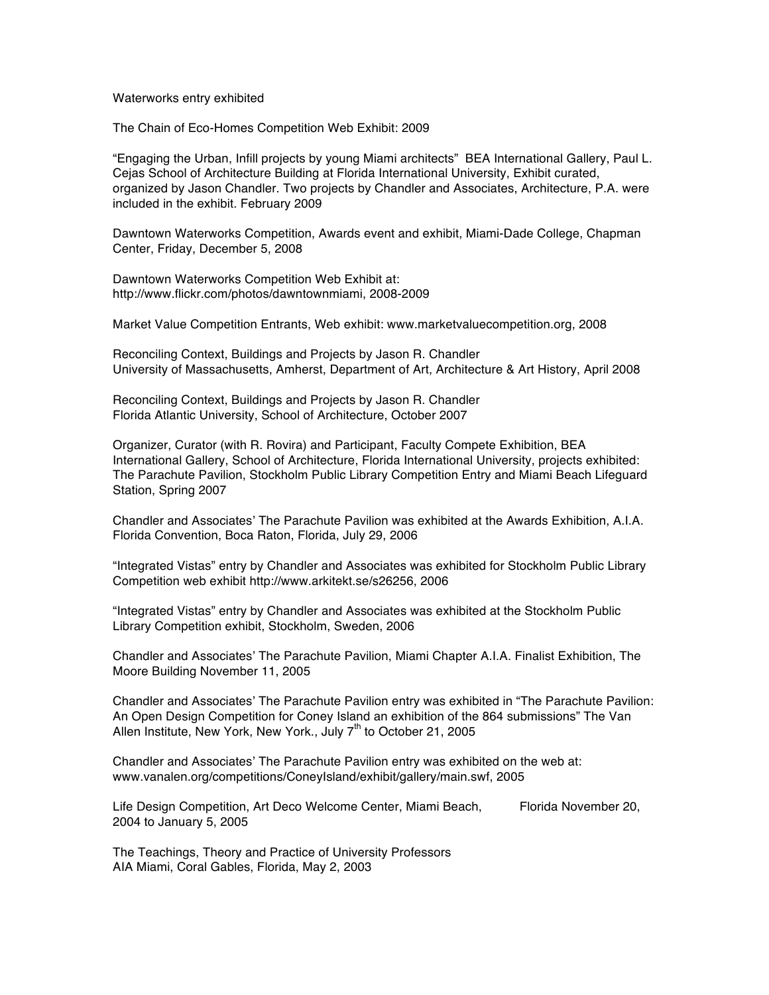#### Waterworks entry exhibited

The Chain of Eco-Homes Competition Web Exhibit: 2009

"Engaging the Urban, Infill projects by young Miami architects" BEA International Gallery, Paul L. Cejas School of Architecture Building at Florida International University, Exhibit curated, organized by Jason Chandler. Two projects by Chandler and Associates, Architecture, P.A. were included in the exhibit. February 2009

Dawntown Waterworks Competition, Awards event and exhibit, Miami-Dade College, Chapman Center, Friday, December 5, 2008

Dawntown Waterworks Competition Web Exhibit at: http://www.flickr.com/photos/dawntownmiami, 2008-2009

Market Value Competition Entrants, Web exhibit: www.marketvaluecompetition.org, 2008

Reconciling Context, Buildings and Projects by Jason R. Chandler University of Massachusetts, Amherst, Department of Art, Architecture & Art History, April 2008

Reconciling Context, Buildings and Projects by Jason R. Chandler Florida Atlantic University, School of Architecture, October 2007

Organizer, Curator (with R. Rovira) and Participant, Faculty Compete Exhibition, BEA International Gallery, School of Architecture, Florida International University, projects exhibited: The Parachute Pavilion, Stockholm Public Library Competition Entry and Miami Beach Lifeguard Station, Spring 2007

Chandler and Associates' The Parachute Pavilion was exhibited at the Awards Exhibition, A.I.A. Florida Convention, Boca Raton, Florida, July 29, 2006

"Integrated Vistas" entry by Chandler and Associates was exhibited for Stockholm Public Library Competition web exhibit http://www.arkitekt.se/s26256, 2006

"Integrated Vistas" entry by Chandler and Associates was exhibited at the Stockholm Public Library Competition exhibit, Stockholm, Sweden, 2006

Chandler and Associates' The Parachute Pavilion, Miami Chapter A.I.A. Finalist Exhibition, The Moore Building November 11, 2005

Chandler and Associates' The Parachute Pavilion entry was exhibited in "The Parachute Pavilion: An Open Design Competition for Coney Island an exhibition of the 864 submissions" The Van Allen Institute, New York, New York., July  $7<sup>th</sup>$  to October 21, 2005

Chandler and Associates' The Parachute Pavilion entry was exhibited on the web at: www.vanalen.org/competitions/ConeyIsland/exhibit/gallery/main.swf, 2005

Life Design Competition, Art Deco Welcome Center, Miami Beach, Florida November 20, 2004 to January 5, 2005

The Teachings, Theory and Practice of University Professors AIA Miami, Coral Gables, Florida, May 2, 2003